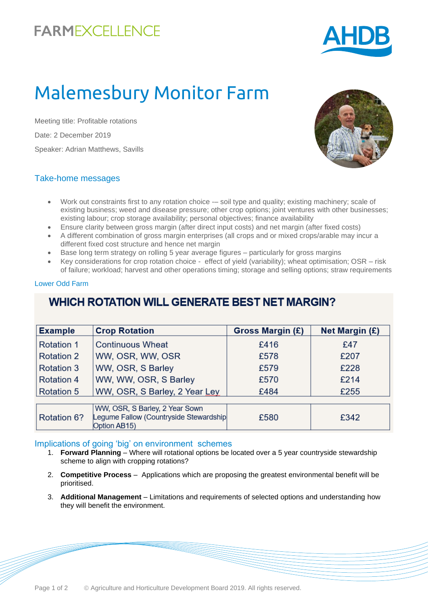## **FARMEXCELLENCE**



# Malemesbury Monitor Farm

Meeting title: Profitable rotations Date: 2 December 2019 Speaker: Adrian Matthews, Savills



#### Take-home messages

- Work out constraints first to any rotation choice -- soil type and quality; existing machinery; scale of existing business; weed and disease pressure; other crop options; joint ventures with other businesses; existing labour; crop storage availability; personal objectives; finance availability
- Ensure clarity between gross margin (after direct input costs) and net margin (after fixed costs)
- A different combination of gross margin enterprises (all crops and or mixed crops/arable may incur a different fixed cost structure and hence net margin
- Base long term strategy on rolling 5 year average figures particularly for gross margins
- Key considerations for crop rotation choice effect of yield (variability); wheat optimisation; OSR risk of failure; workload; harvest and other operations timing; storage and selling options; straw requirements

#### Lower Odd Farm

### **WHICH ROTATION WILL GENERATE BEST NET MARGIN?**

| <b>Example</b>    | <b>Crop Rotation</b>                                                     | Gross Margin (£) | <b>Net Margin (£)</b> |
|-------------------|--------------------------------------------------------------------------|------------------|-----------------------|
| <b>Rotation 1</b> | <b>Continuous Wheat</b>                                                  | £416             | £47                   |
| <b>Rotation 2</b> | WW, OSR, WW, OSR                                                         | £578             | £207                  |
| <b>Rotation 3</b> | WW, OSR, S Barley                                                        | £579             | £228                  |
| <b>Rotation 4</b> | WW, WW, OSR, S Barley                                                    | £570             | £214                  |
| <b>Rotation 5</b> | WW, OSR, S Barley, 2 Year Ley                                            | £484             | £255                  |
|                   |                                                                          |                  |                       |
|                   | WW, OSR, S Barley, 2 Year Sown<br>Legume Fallow (Countryside Stewardship |                  |                       |
| Rotation 6?       | Option AB15)                                                             | £580             | £342                  |

#### Implications of going 'big' on environment schemes

- 1. **Forward Planning**  Where will rotational options be located over a 5 year countryside stewardship scheme to align with cropping rotations?
- 2. **Competitive Process**  Applications which are proposing the greatest environmental benefit will be prioritised.
- 3. **Additional Management**  Limitations and requirements of selected options and understanding how they will benefit the environment.